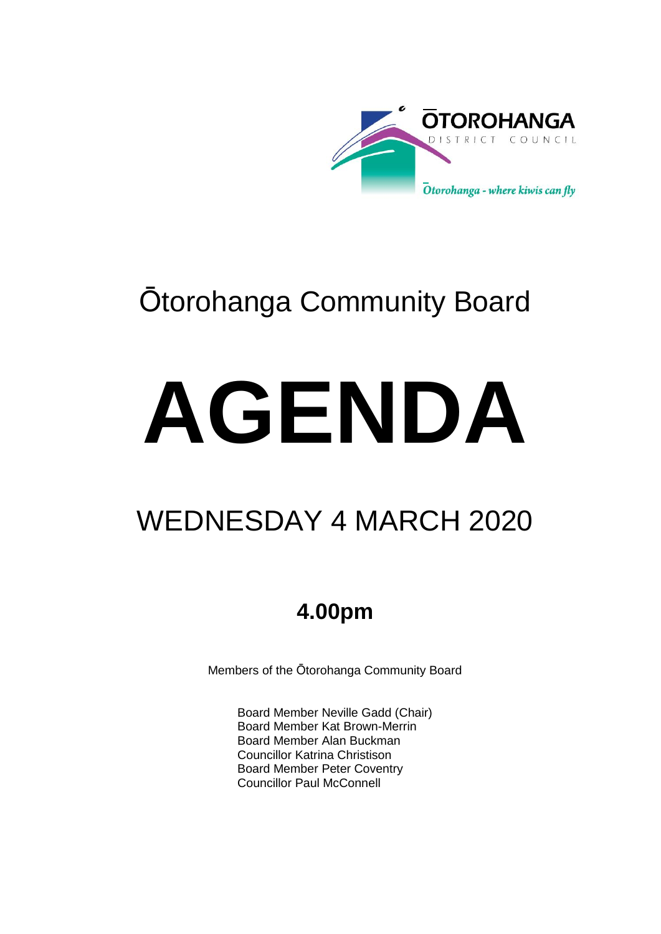

# Ōtorohanga Community Board

# **AGENDA**

# WEDNESDAY 4 MARCH 2020

# **4.00pm**

Members of the Ōtorohanga Community Board

Board Member Neville Gadd (Chair) Board Member Kat Brown-Merrin Board Member Alan Buckman Councillor Katrina Christison Board Member Peter Coventry Councillor Paul McConnell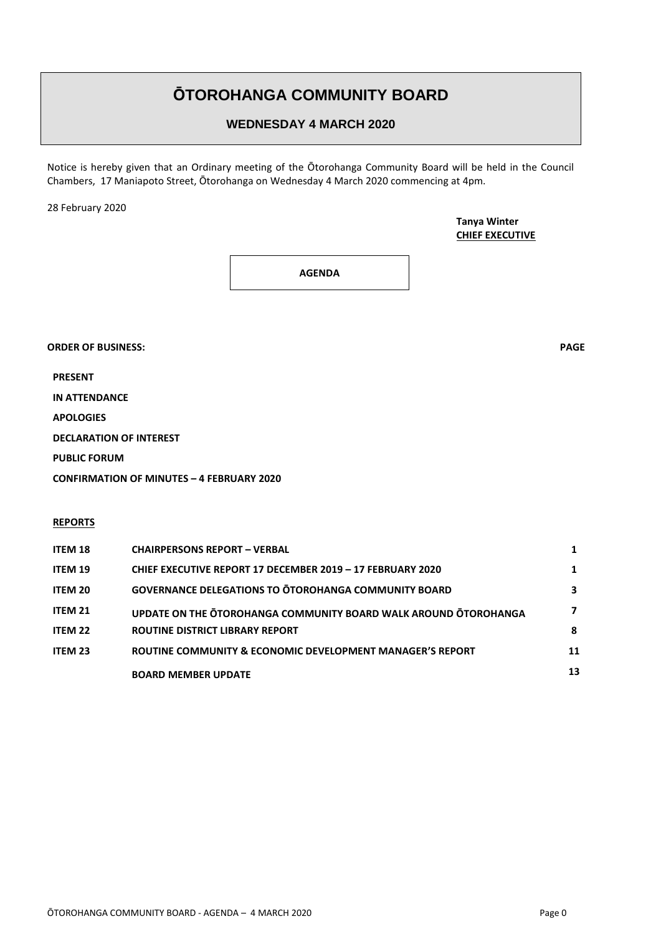### **ŌTOROHANGA COMMUNITY BOARD**

#### **WEDNESDAY 4 MARCH 2020**

Notice is hereby given that an Ordinary meeting of the Ōtorohanga Community Board will be held in the Council Chambers, 17 Maniapoto Street, Ōtorohanga on Wednesday 4 March 2020 commencing at 4pm.

28 February 2020

**Tanya Winter CHIEF EXECUTIVE**

**AGENDA**

**ORDER OF BUSINESS: PAGE**

**PRESENT**

**IN ATTENDANCE**

**APOLOGIES**

**DECLARATION OF INTEREST**

**PUBLIC FORUM**

**CONFIRMATION OF MINUTES – 4 FEBRUARY 2020**

#### **REPORTS**

| <b>ITEM 18</b> | <b>CHAIRPERSONS REPORT - VERBAL</b>                                  |    |
|----------------|----------------------------------------------------------------------|----|
| <b>ITEM 19</b> | CHIEF EXECUTIVE REPORT 17 DECEMBER 2019 - 17 FEBRUARY 2020           |    |
| <b>ITEM 20</b> | <b>GOVERNANCE DELEGATIONS TO OTOROHANGA COMMUNITY BOARD</b>          | 3  |
| <b>ITEM 21</b> | UPDATE ON THE OTOROHANGA COMMUNITY BOARD WALK AROUND OTOROHANGA      | 7  |
| ITEM 22        | <b>ROUTINE DISTRICT LIBRARY REPORT</b>                               | 8  |
| <b>ITEM 23</b> | <b>ROUTINE COMMUNITY &amp; ECONOMIC DEVELOPMENT MANAGER'S REPORT</b> | 11 |
|                | <b>BOARD MEMBER UPDATE</b>                                           | 13 |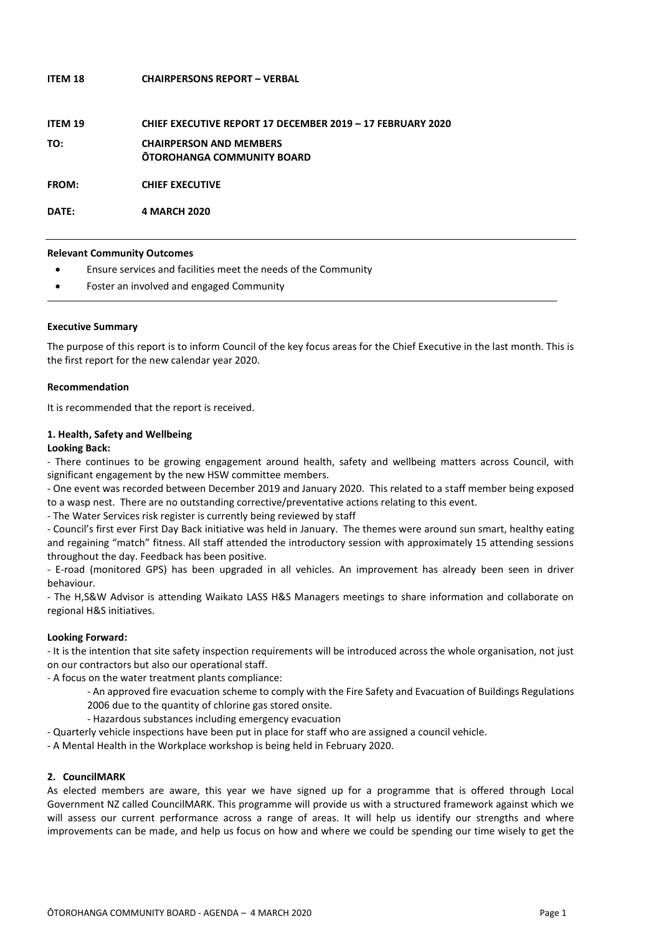## **ITEM 18 CHAIRPERSONS REPORT – VERBAL ITEM 19 CHIEF EXECUTIVE REPORT 17 DECEMBER 2019 – 17 FEBRUARY 2020 TO: CHAIRPERSON AND MEMBERS ŌTOROHANGA COMMUNITY BOARD FROM: CHIEF EXECUTIVE DATE: 4 MARCH 2020**

**Relevant Community Outcomes**

- Ensure services and facilities meet the needs of the Community
- Foster an involved and engaged Community

#### **Executive Summary**

The purpose of this report is to inform Council of the key focus areas for the Chief Executive in the last month. This is the first report for the new calendar year 2020.

#### **Recommendation**

It is recommended that the report is received.

#### **1. Health, Safety and Wellbeing**

#### **Looking Back:**

- There continues to be growing engagement around health, safety and wellbeing matters across Council, with significant engagement by the new HSW committee members.

- One event was recorded between December 2019 and January 2020. This related to a staff member being exposed to a wasp nest. There are no outstanding corrective/preventative actions relating to this event.

- The Water Services risk register is currently being reviewed by staff

- Council's first ever First Day Back initiative was held in January. The themes were around sun smart, healthy eating and regaining "match" fitness. All staff attended the introductory session with approximately 15 attending sessions throughout the day. Feedback has been positive.

- E-road (monitored GPS) has been upgraded in all vehicles. An improvement has already been seen in driver behaviour.

- The H,S&W Advisor is attending Waikato LASS H&S Managers meetings to share information and collaborate on regional H&S initiatives.

#### **Looking Forward:**

- It is the intention that site safety inspection requirements will be introduced across the whole organisation, not just on our contractors but also our operational staff.

- A focus on the water treatment plants compliance:

- An approved fire evacuation scheme to comply with the Fire Safety and Evacuation of Buildings Regulations 2006 due to the quantity of chlorine gas stored onsite.
- Hazardous substances including emergency evacuation
- Quarterly vehicle inspections have been put in place for staff who are assigned a council vehicle.
- A Mental Health in the Workplace workshop is being held in February 2020.

#### **2. CouncilMARK**

As elected members are aware, this year we have signed up for a programme that is offered through Local Government NZ called CouncilMARK. This programme will provide us with a structured framework against which we will assess our current performance across a range of areas. It will help us identify our strengths and where improvements can be made, and help us focus on how and where we could be spending our time wisely to get the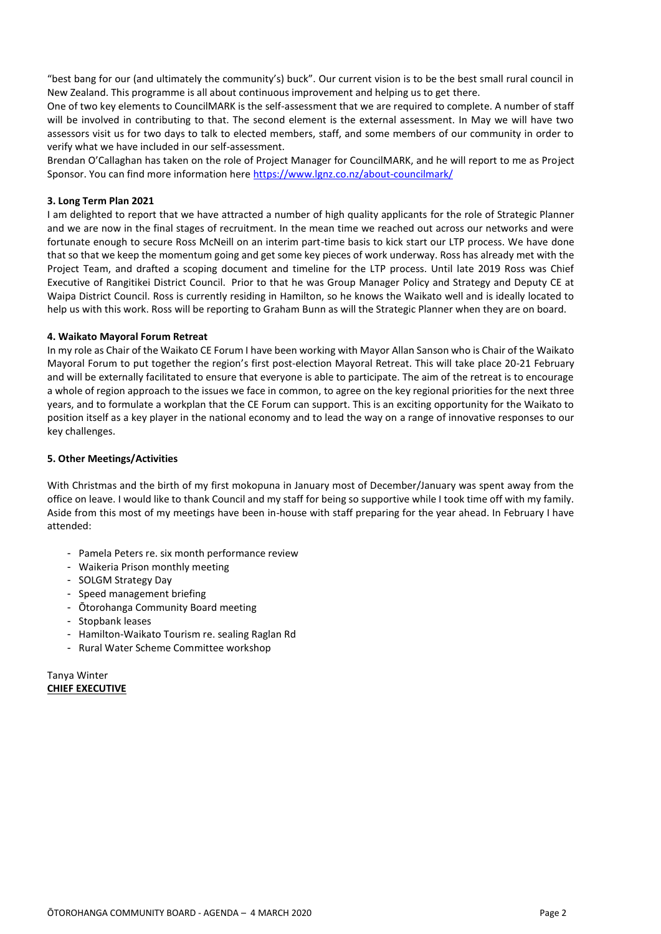"best bang for our (and ultimately the community's) buck". Our current vision is to be the best small rural council in New Zealand. This programme is all about continuous improvement and helping us to get there.

One of two key elements to CouncilMARK is the self-assessment that we are required to complete. A number of staff will be involved in contributing to that. The second element is the external assessment. In May we will have two assessors visit us for two days to talk to elected members, staff, and some members of our community in order to verify what we have included in our self-assessment.

Brendan O'Callaghan has taken on the role of Project Manager for CouncilMARK, and he will report to me as Project Sponsor. You can find more information here<https://www.lgnz.co.nz/about-councilmark/>

#### **3. Long Term Plan 2021**

I am delighted to report that we have attracted a number of high quality applicants for the role of Strategic Planner and we are now in the final stages of recruitment. In the mean time we reached out across our networks and were fortunate enough to secure Ross McNeill on an interim part-time basis to kick start our LTP process. We have done that so that we keep the momentum going and get some key pieces of work underway. Ross has already met with the Project Team, and drafted a scoping document and timeline for the LTP process. Until late 2019 Ross was Chief Executive of Rangitikei District Council. Prior to that he was Group Manager Policy and Strategy and Deputy CE at Waipa District Council. Ross is currently residing in Hamilton, so he knows the Waikato well and is ideally located to help us with this work. Ross will be reporting to Graham Bunn as will the Strategic Planner when they are on board.

#### **4. Waikato Mayoral Forum Retreat**

In my role as Chair of the Waikato CE Forum I have been working with Mayor Allan Sanson who is Chair of the Waikato Mayoral Forum to put together the region's first post-election Mayoral Retreat. This will take place 20-21 February and will be externally facilitated to ensure that everyone is able to participate. The aim of the retreat is to encourage a whole of region approach to the issues we face in common, to agree on the key regional priorities for the next three years, and to formulate a workplan that the CE Forum can support. This is an exciting opportunity for the Waikato to position itself as a key player in the national economy and to lead the way on a range of innovative responses to our key challenges.

#### **5. Other Meetings/Activities**

With Christmas and the birth of my first mokopuna in January most of December/January was spent away from the office on leave. I would like to thank Council and my staff for being so supportive while I took time off with my family. Aside from this most of my meetings have been in-house with staff preparing for the year ahead. In February I have attended:

- Pamela Peters re. six month performance review
- Waikeria Prison monthly meeting
- SOLGM Strategy Day
- Speed management briefing
- Ōtorohanga Community Board meeting
- Stopbank leases
- Hamilton-Waikato Tourism re. sealing Raglan Rd
- Rural Water Scheme Committee workshop

Tanya Winter **CHIEF EXECUTIVE**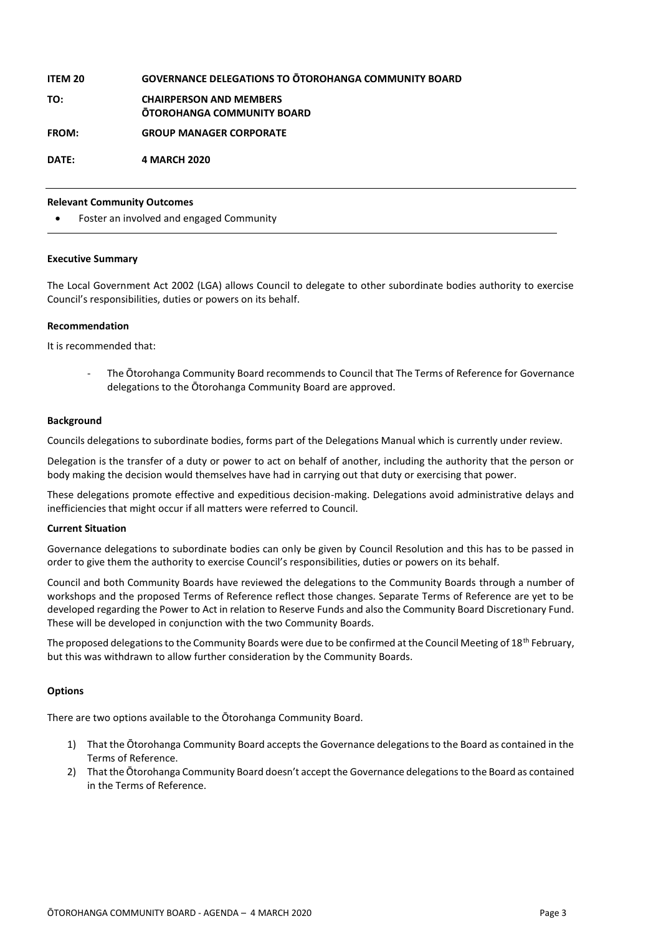#### **ITEM 20 GOVERNANCE DELEGATIONS TO ŌTOROHANGA COMMUNITY BOARD**

**TO: CHAIRPERSON AND MEMBERS ŌTOROHANGA COMMUNITY BOARD**

**FROM: GROUP MANAGER CORPORATE**

**DATE: 4 MARCH 2020**

#### **Relevant Community Outcomes**

Foster an involved and engaged Community

#### **Executive Summary**

The Local Government Act 2002 (LGA) allows Council to delegate to other subordinate bodies authority to exercise Council's responsibilities, duties or powers on its behalf.

#### **Recommendation**

It is recommended that:

- The Ōtorohanga Community Board recommends to Council that The Terms of Reference for Governance delegations to the Ōtorohanga Community Board are approved.

#### **Background**

Councils delegations to subordinate bodies, forms part of the Delegations Manual which is currently under review.

Delegation is the transfer of a duty or power to act on behalf of another, including the authority that the person or body making the decision would themselves have had in carrying out that duty or exercising that power.

These delegations promote effective and expeditious decision-making. Delegations avoid administrative delays and inefficiencies that might occur if all matters were referred to Council.

#### **Current Situation**

Governance delegations to subordinate bodies can only be given by Council Resolution and this has to be passed in order to give them the authority to exercise Council's responsibilities, duties or powers on its behalf.

Council and both Community Boards have reviewed the delegations to the Community Boards through a number of workshops and the proposed Terms of Reference reflect those changes. Separate Terms of Reference are yet to be developed regarding the Power to Act in relation to Reserve Funds and also the Community Board Discretionary Fund. These will be developed in conjunction with the two Community Boards.

The proposed delegations to the Community Boards were due to be confirmed at the Council Meeting of 18<sup>th</sup> February, but this was withdrawn to allow further consideration by the Community Boards.

#### **Options**

There are two options available to the Ōtorohanga Community Board.

- 1) That the Ōtorohanga Community Board accepts the Governance delegations to the Board as contained in the Terms of Reference.
- 2) That the Ōtorohanga Community Board doesn't accept the Governance delegations to the Board as contained in the Terms of Reference.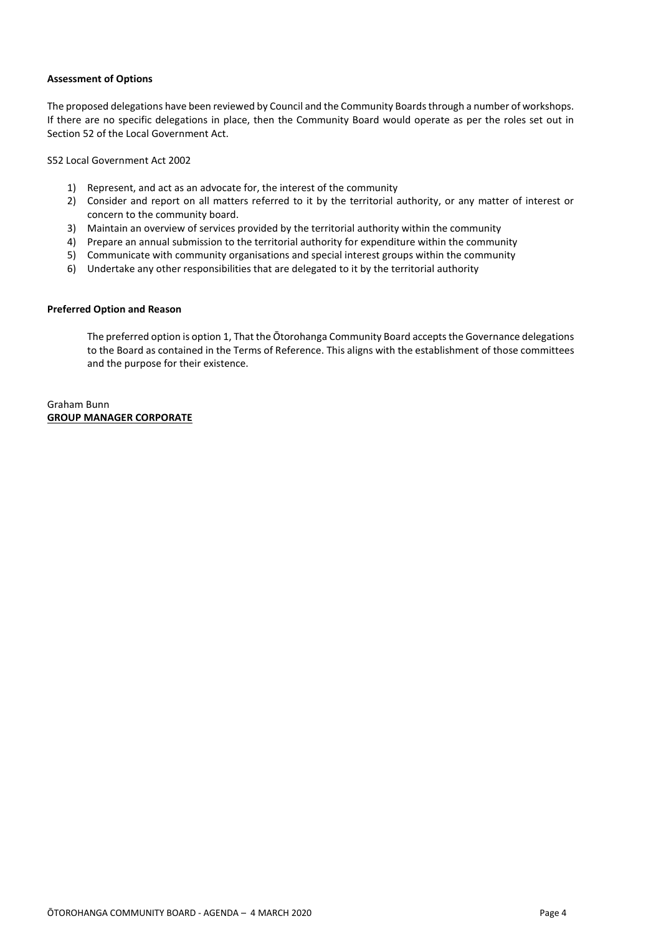#### **Assessment of Options**

The proposed delegations have been reviewed by Council and the Community Boards through a number of workshops. If there are no specific delegations in place, then the Community Board would operate as per the roles set out in Section 52 of the Local Government Act.

S52 Local Government Act 2002

- 1) Represent, and act as an advocate for, the interest of the community
- 2) Consider and report on all matters referred to it by the territorial authority, or any matter of interest or concern to the community board.
- 3) Maintain an overview of services provided by the territorial authority within the community
- 4) Prepare an annual submission to the territorial authority for expenditure within the community
- 5) Communicate with community organisations and special interest groups within the community
- 6) Undertake any other responsibilities that are delegated to it by the territorial authority

#### **Preferred Option and Reason**

The preferred option is option 1, That the Ōtorohanga Community Board accepts the Governance delegations to the Board as contained in the Terms of Reference. This aligns with the establishment of those committees and the purpose for their existence.

#### Graham Bunn **GROUP MANAGER CORPORATE**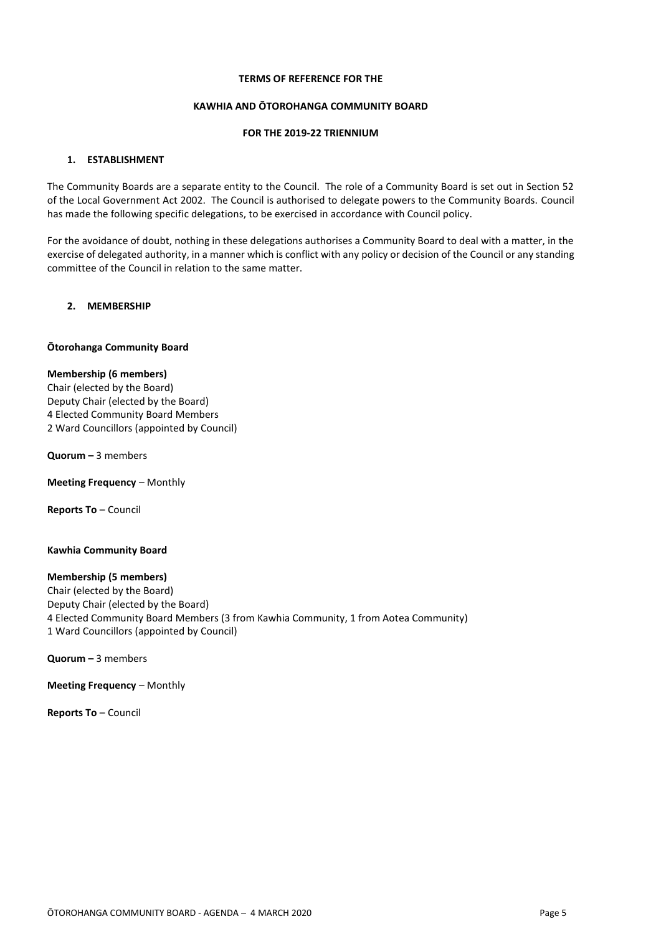#### **TERMS OF REFERENCE FOR THE**

#### **KAWHIA AND ŌTOROHANGA COMMUNITY BOARD**

#### **FOR THE 2019-22 TRIENNIUM**

#### **1. ESTABLISHMENT**

The Community Boards are a separate entity to the Council. The role of a Community Board is set out in Section 52 of the Local Government Act 2002. The Council is authorised to delegate powers to the Community Boards. Council has made the following specific delegations, to be exercised in accordance with Council policy.

For the avoidance of doubt, nothing in these delegations authorises a Community Board to deal with a matter, in the exercise of delegated authority, in a manner which is conflict with any policy or decision of the Council or any standing committee of the Council in relation to the same matter.

#### **2. MEMBERSHIP**

#### **Ōtorohanga Community Board**

#### **Membership (6 members)**

Chair (elected by the Board) Deputy Chair (elected by the Board) 4 Elected Community Board Members 2 Ward Councillors (appointed by Council)

**Quorum –** 3 members

**Meeting Frequency** – Monthly

**Reports To** – Council

#### **Kawhia Community Board**

#### **Membership (5 members)**

Chair (elected by the Board) Deputy Chair (elected by the Board) 4 Elected Community Board Members (3 from Kawhia Community, 1 from Aotea Community) 1 Ward Councillors (appointed by Council)

**Quorum –** 3 members

**Meeting Frequency** – Monthly

**Reports To** – Council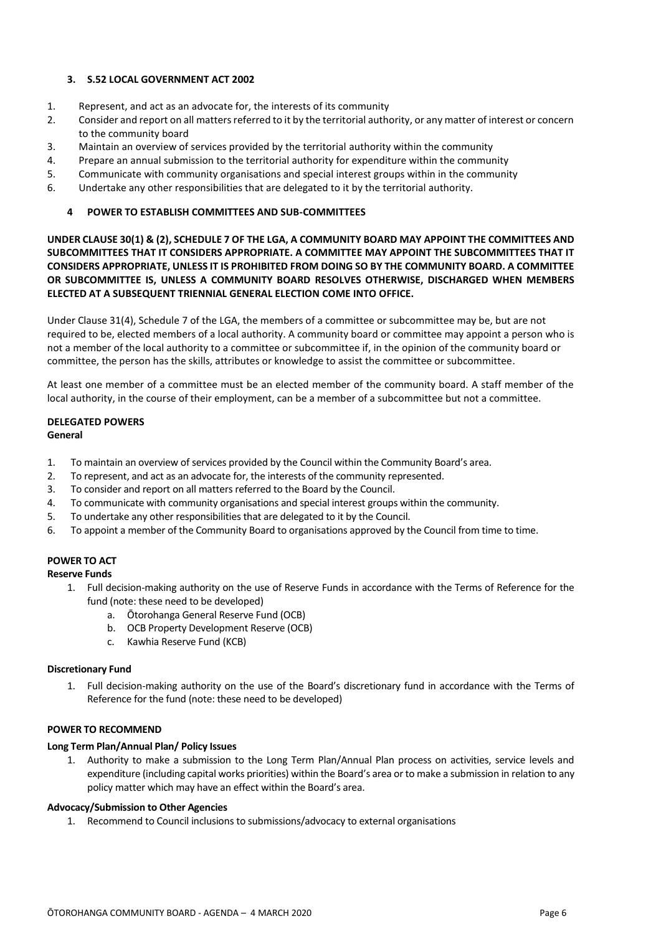#### **3. S.52 LOCAL GOVERNMENT ACT 2002**

- 1. Represent, and act as an advocate for, the interests of its community
- 2. Consider and report on all matters referred to it by the territorial authority, or any matter of interest or concern to the community board
- 3. Maintain an overview of services provided by the territorial authority within the community
- 4. Prepare an annual submission to the territorial authority for expenditure within the community
- 5. Communicate with community organisations and special interest groups within in the community
- 6. Undertake any other responsibilities that are delegated to it by the territorial authority.

#### **4 POWER TO ESTABLISH COMMITTEES AND SUB-COMMITTEES**

**UNDER CLAUSE 30(1) & (2), SCHEDULE 7 OF THE LGA, A COMMUNITY BOARD MAY APPOINT THE COMMITTEES AND SUBCOMMITTEES THAT IT CONSIDERS APPROPRIATE. A COMMITTEE MAY APPOINT THE SUBCOMMITTEES THAT IT CONSIDERS APPROPRIATE, UNLESS IT IS PROHIBITED FROM DOING SO BY THE COMMUNITY BOARD. A COMMITTEE OR SUBCOMMITTEE IS, UNLESS A COMMUNITY BOARD RESOLVES OTHERWISE, DISCHARGED WHEN MEMBERS ELECTED AT A SUBSEQUENT TRIENNIAL GENERAL ELECTION COME INTO OFFICE.**

Under Clause 31(4), Schedule 7 of the LGA, the members of a committee or subcommittee may be, but are not required to be, elected members of a local authority. A community board or committee may appoint a person who is not a member of the local authority to a committee or subcommittee if, in the opinion of the community board or committee, the person has the skills, attributes or knowledge to assist the committee or subcommittee.

At least one member of a committee must be an elected member of the community board. A staff member of the local authority, in the course of their employment, can be a member of a subcommittee but not a committee.

#### **DELEGATED POWERS General**

- 1. To maintain an overview of services provided by the Council within the Community Board's area.
- 2. To represent, and act as an advocate for, the interests of the community represented.
- 3. To consider and report on all matters referred to the Board by the Council.
- 4. To communicate with community organisations and special interest groups within the community.
- 5. To undertake any other responsibilities that are delegated to it by the Council.
- 6. To appoint a member of the Community Board to organisations approved by the Council from time to time.

#### **POWER TO ACT**

#### **Reserve Funds**

- 1. Full decision-making authority on the use of Reserve Funds in accordance with the Terms of Reference for the fund (note: these need to be developed)
	- a. Ōtorohanga General Reserve Fund (OCB)
	- b. OCB Property Development Reserve (OCB)
	- c. Kawhia Reserve Fund (KCB)

#### **Discretionary Fund**

1. Full decision-making authority on the use of the Board's discretionary fund in accordance with the Terms of Reference for the fund (note: these need to be developed)

#### **POWER TO RECOMMEND**

#### **Long Term Plan/Annual Plan/ Policy Issues**

1. Authority to make a submission to the Long Term Plan/Annual Plan process on activities, service levels and expenditure (including capital works priorities) within the Board's area or to make a submission in relation to any policy matter which may have an effect within the Board's area.

#### **Advocacy/Submission to Other Agencies**

1. Recommend to Council inclusions to submissions/advocacy to external organisations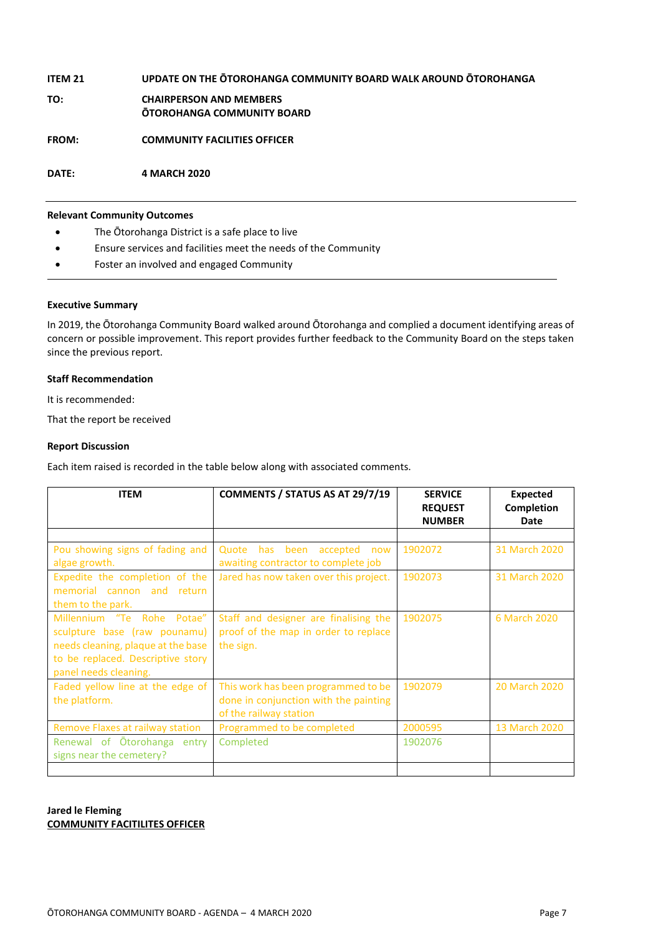## **ITEM 21 UPDATE ON THE ŌTOROHANGA COMMUNITY BOARD WALK AROUND ŌTOROHANGA TO: CHAIRPERSON AND MEMBERS ŌTOROHANGA COMMUNITY BOARD FROM: COMMUNITY FACILITIES OFFICER DATE: 4 MARCH 2020**

#### **Relevant Community Outcomes**

- The Ōtorohanga District is a safe place to live
- Ensure services and facilities meet the needs of the Community
- Foster an involved and engaged Community

#### **Executive Summary**

In 2019, the Ōtorohanga Community Board walked around Ōtorohanga and complied a document identifying areas of concern or possible improvement. This report provides further feedback to the Community Board on the steps taken since the previous report.

#### **Staff Recommendation**

It is recommended:

That the report be received

#### **Report Discussion**

Each item raised is recorded in the table below along with associated comments.

| <b>ITEM</b>                                                                                                                                                    | COMMENTS / STATUS AS AT 29/7/19                                                                        | <b>SERVICE</b><br><b>REQUEST</b><br><b>NUMBER</b> | <b>Expected</b><br><b>Completion</b><br>Date |
|----------------------------------------------------------------------------------------------------------------------------------------------------------------|--------------------------------------------------------------------------------------------------------|---------------------------------------------------|----------------------------------------------|
|                                                                                                                                                                |                                                                                                        |                                                   |                                              |
| Pou showing signs of fading and<br>algae growth.                                                                                                               | Quote<br>has been<br>accepted<br>now<br>awaiting contractor to complete job                            | 1902072                                           | 31 March 2020                                |
| Expedite the completion of the<br>memorial cannon and<br>return<br>them to the park.                                                                           | Jared has now taken over this project.                                                                 | 1902073                                           | 31 March 2020                                |
| Millennium "Te Rohe Potae"<br>sculpture base (raw pounamu)<br>needs cleaning, plaque at the base<br>to be replaced. Descriptive story<br>panel needs cleaning. | Staff and designer are finalising the<br>proof of the map in order to replace<br>the sign.             | 1902075                                           | 6 March 2020                                 |
| Faded yellow line at the edge of<br>the platform.                                                                                                              | This work has been programmed to be<br>done in conjunction with the painting<br>of the railway station | 1902079                                           | 20 March 2020                                |
| Remove Flaxes at railway station                                                                                                                               | Programmed to be completed                                                                             | 2000595                                           | 13 March 2020                                |
| Renewal of Otorohanga entry<br>signs near the cemetery?                                                                                                        | Completed                                                                                              | 1902076                                           |                                              |
|                                                                                                                                                                |                                                                                                        |                                                   |                                              |

#### **Jared le Fleming COMMUNITY FACITILITES OFFICER**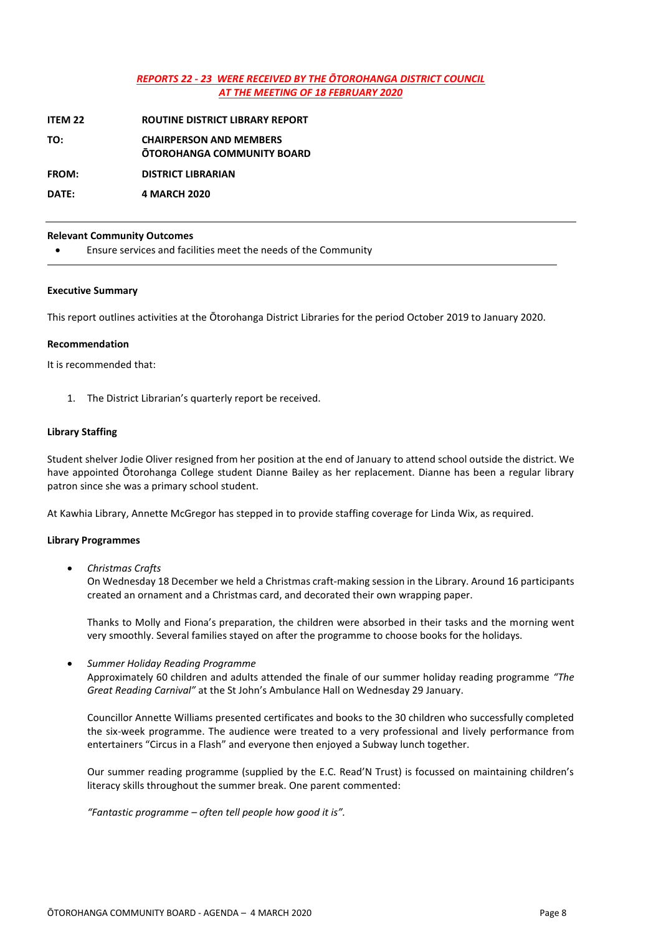#### *REPORTS 22 - 23 WERE RECEIVED BY THE ŌTOROHANGA DISTRICT COUNCIL AT THE MEETING OF 18 FEBRUARY 2020*

**ITEM 22 ROUTINE DISTRICT LIBRARY REPORT**

**TO: CHAIRPERSON AND MEMBERS**

**ŌTOROHANGA COMMUNITY BOARD**

**FROM: DISTRICT LIBRARIAN**

**DATE: 4 MARCH 2020**

#### **Relevant Community Outcomes**

Ensure services and facilities meet the needs of the Community

#### **Executive Summary**

This report outlines activities at the Ōtorohanga District Libraries for the period October 2019 to January 2020.

#### **Recommendation**

It is recommended that:

1. The District Librarian's quarterly report be received.

#### **Library Staffing**

Student shelver Jodie Oliver resigned from her position at the end of January to attend school outside the district. We have appointed Ōtorohanga College student Dianne Bailey as her replacement. Dianne has been a regular library patron since she was a primary school student.

At Kawhia Library, Annette McGregor has stepped in to provide staffing coverage for Linda Wix, as required.

#### **Library Programmes**

*Christmas Crafts*

On Wednesday 18 December we held a Christmas craft-making session in the Library. Around 16 participants created an ornament and a Christmas card, and decorated their own wrapping paper.

Thanks to Molly and Fiona's preparation, the children were absorbed in their tasks and the morning went very smoothly. Several families stayed on after the programme to choose books for the holidays.

*Summer Holiday Reading Programme*

Approximately 60 children and adults attended the finale of our summer holiday reading programme *"The Great Reading Carnival"* at the St John's Ambulance Hall on Wednesday 29 January.

Councillor Annette Williams presented certificates and books to the 30 children who successfully completed the six-week programme. The audience were treated to a very professional and lively performance from entertainers "Circus in a Flash" and everyone then enjoyed a Subway lunch together.

Our summer reading programme (supplied by the E.C. Read'N Trust) is focussed on maintaining children's literacy skills throughout the summer break. One parent commented:

*"Fantastic programme – often tell people how good it is".*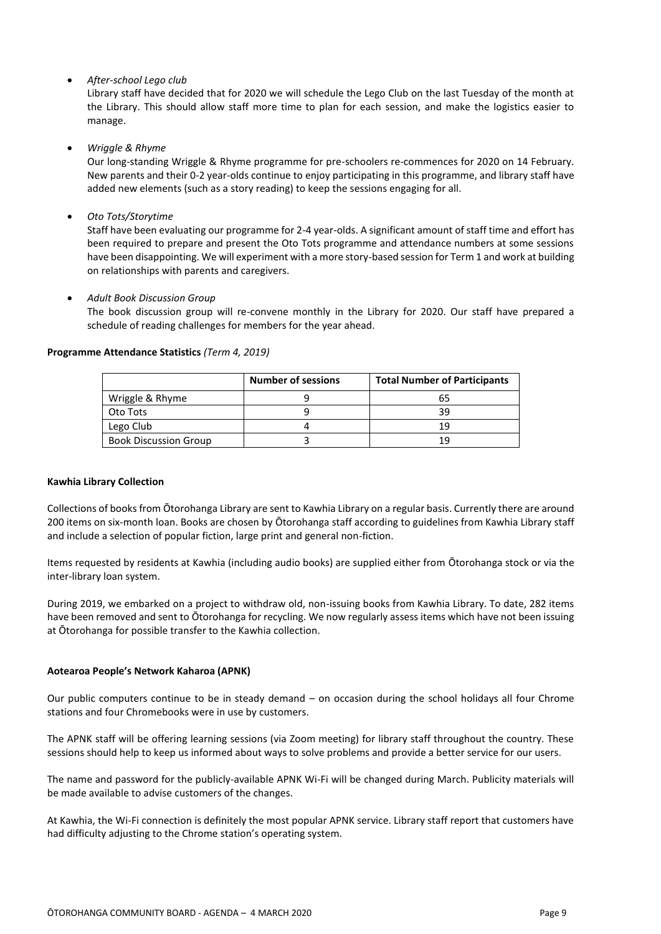#### *After-school Lego club*

Library staff have decided that for 2020 we will schedule the Lego Club on the last Tuesday of the month at the Library. This should allow staff more time to plan for each session, and make the logistics easier to manage.

#### *Wriggle & Rhyme*

Our long-standing Wriggle & Rhyme programme for pre-schoolers re-commences for 2020 on 14 February. New parents and their 0-2 year-olds continue to enjoy participating in this programme, and library staff have added new elements (such as a story reading) to keep the sessions engaging for all.

*Oto Tots/Storytime*

Staff have been evaluating our programme for 2-4 year-olds. A significant amount of staff time and effort has been required to prepare and present the Oto Tots programme and attendance numbers at some sessions have been disappointing. We will experiment with a more story-based session for Term 1 and work at building on relationships with parents and caregivers.

*Adult Book Discussion Group*

The book discussion group will re-convene monthly in the Library for 2020. Our staff have prepared a schedule of reading challenges for members for the year ahead.

|                              | <b>Number of sessions</b> | <b>Total Number of Participants</b> |
|------------------------------|---------------------------|-------------------------------------|
| Wriggle & Rhyme              |                           | ჩ5                                  |
| Oto Tots                     |                           | ٦d                                  |
| Lego Club                    |                           | 19                                  |
| <b>Book Discussion Group</b> |                           | 1 Q                                 |

#### **Programme Attendance Statistics** *(Term 4, 2019)*

#### **Kawhia Library Collection**

Collections of books from Ōtorohanga Library are sent to Kawhia Library on a regular basis. Currently there are around 200 items on six-month loan. Books are chosen by Ōtorohanga staff according to guidelines from Kawhia Library staff and include a selection of popular fiction, large print and general non-fiction.

Items requested by residents at Kawhia (including audio books) are supplied either from Ōtorohanga stock or via the inter-library loan system.

During 2019, we embarked on a project to withdraw old, non-issuing books from Kawhia Library. To date, 282 items have been removed and sent to Ōtorohanga for recycling. We now regularly assess items which have not been issuing at Ōtorohanga for possible transfer to the Kawhia collection.

#### **Aotearoa People's Network Kaharoa (APNK)**

Our public computers continue to be in steady demand – on occasion during the school holidays all four Chrome stations and four Chromebooks were in use by customers.

The APNK staff will be offering learning sessions (via Zoom meeting) for library staff throughout the country. These sessions should help to keep us informed about ways to solve problems and provide a better service for our users.

The name and password for the publicly-available APNK Wi-Fi will be changed during March. Publicity materials will be made available to advise customers of the changes.

At Kawhia, the Wi-Fi connection is definitely the most popular APNK service. Library staff report that customers have had difficulty adjusting to the Chrome station's operating system.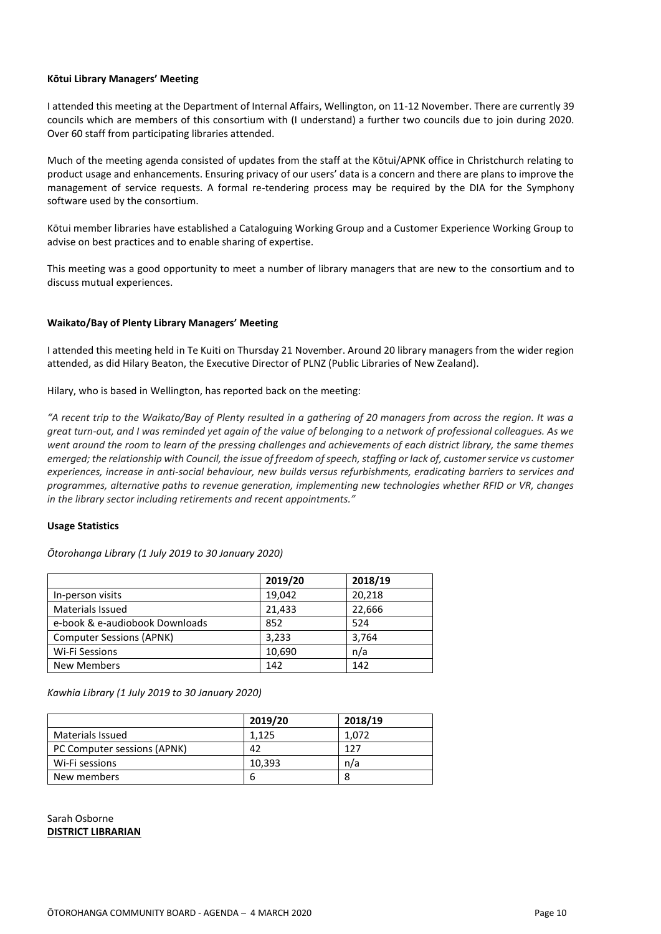#### **Kōtui Library Managers' Meeting**

I attended this meeting at the Department of Internal Affairs, Wellington, on 11-12 November. There are currently 39 councils which are members of this consortium with (I understand) a further two councils due to join during 2020. Over 60 staff from participating libraries attended.

Much of the meeting agenda consisted of updates from the staff at the Kōtui/APNK office in Christchurch relating to product usage and enhancements. Ensuring privacy of our users' data is a concern and there are plans to improve the management of service requests. A formal re-tendering process may be required by the DIA for the Symphony software used by the consortium.

Kōtui member libraries have established a Cataloguing Working Group and a Customer Experience Working Group to advise on best practices and to enable sharing of expertise.

This meeting was a good opportunity to meet a number of library managers that are new to the consortium and to discuss mutual experiences.

#### **Waikato/Bay of Plenty Library Managers' Meeting**

I attended this meeting held in Te Kuiti on Thursday 21 November. Around 20 library managers from the wider region attended, as did Hilary Beaton, the Executive Director of PLNZ (Public Libraries of New Zealand).

Hilary, who is based in Wellington, has reported back on the meeting:

*"A recent trip to the Waikato/Bay of Plenty resulted in a gathering of 20 managers from across the region. It was a great turn-out, and I was reminded yet again of the value of belonging to a network of professional colleagues. As we went around the room to learn of the pressing challenges and achievements of each district library, the same themes emerged; the relationship with Council, the issue of freedom of speech, staffing or lack of, customer service vs customer experiences, increase in anti-social behaviour, new builds versus refurbishments, eradicating barriers to services and programmes, alternative paths to revenue generation, implementing new technologies whether RFID or VR, changes in the library sector including retirements and recent appointments."*

#### **Usage Statistics**

*Ōtorohanga Library (1 July 2019 to 30 January 2020)*

|                                 | 2019/20 | 2018/19 |
|---------------------------------|---------|---------|
| In-person visits                | 19,042  | 20,218  |
| <b>Materials Issued</b>         | 21,433  | 22,666  |
| e-book & e-audiobook Downloads  | 852     | 524     |
| <b>Computer Sessions (APNK)</b> | 3,233   | 3,764   |
| Wi-Fi Sessions                  | 10,690  | n/a     |
| <b>New Members</b>              | 142     | 142     |

*Kawhia Library (1 July 2019 to 30 January 2020)*

|                             | 2019/20 | 2018/19 |
|-----------------------------|---------|---------|
| <b>Materials Issued</b>     | 1.125   | 1.072   |
| PC Computer sessions (APNK) | 42      | 127     |
| Wi-Fi sessions              | 10.393  | n/a     |
| New members                 | b       |         |

Sarah Osborne **DISTRICT LIBRARIAN**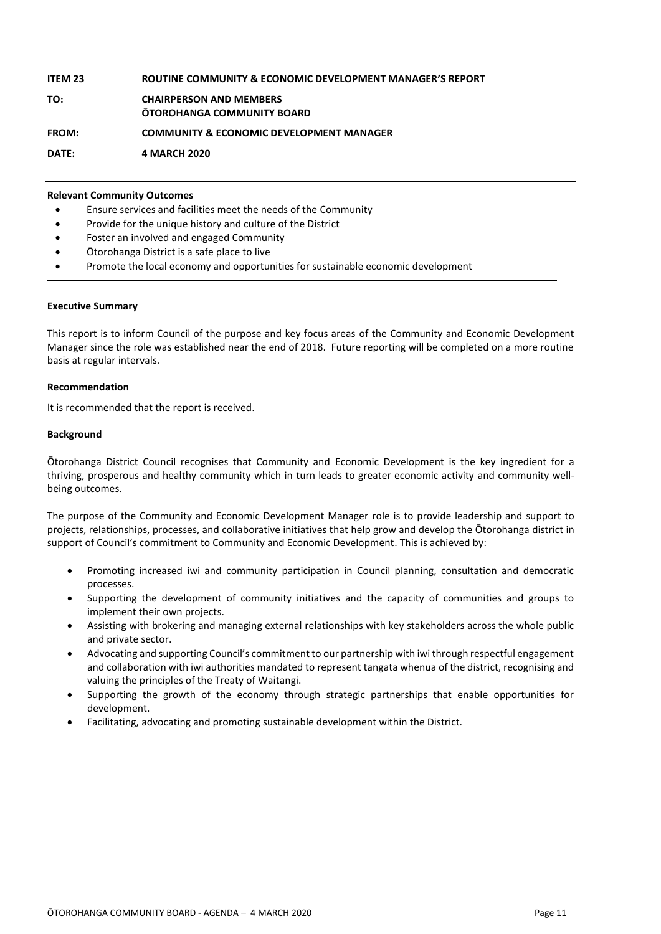#### **ITEM 23 ROUTINE COMMUNITY & ECONOMIC DEVELOPMENT MANAGER'S REPORT TO: CHAIRPERSON AND MEMBERS ŌTOROHANGA COMMUNITY BOARD FROM: COMMUNITY & ECONOMIC DEVELOPMENT MANAGER DATE: 4 MARCH 2020**

#### **Relevant Community Outcomes**

- Ensure services and facilities meet the needs of the Community
- Provide for the unique history and culture of the District
- Foster an involved and engaged Community
- Ōtorohanga District is a safe place to live
- Promote the local economy and opportunities for sustainable economic development

#### **Executive Summary**

This report is to inform Council of the purpose and key focus areas of the Community and Economic Development Manager since the role was established near the end of 2018. Future reporting will be completed on a more routine basis at regular intervals.

#### **Recommendation**

It is recommended that the report is received.

#### **Background**

Ōtorohanga District Council recognises that Community and Economic Development is the key ingredient for a thriving, prosperous and healthy community which in turn leads to greater economic activity and community wellbeing outcomes.

The purpose of the Community and Economic Development Manager role is to provide leadership and support to projects, relationships, processes, and collaborative initiatives that help grow and develop the Ōtorohanga district in support of Council's commitment to Community and Economic Development. This is achieved by:

- Promoting increased iwi and community participation in Council planning, consultation and democratic processes.
- Supporting the development of community initiatives and the capacity of communities and groups to implement their own projects.
- Assisting with brokering and managing external relationships with key stakeholders across the whole public and private sector.
- Advocating and supporting Council's commitment to our partnership with iwi through respectful engagement and collaboration with iwi authorities mandated to represent tangata whenua of the district, recognising and valuing the principles of the Treaty of Waitangi.
- Supporting the growth of the economy through strategic partnerships that enable opportunities for development.
- Facilitating, advocating and promoting sustainable development within the District.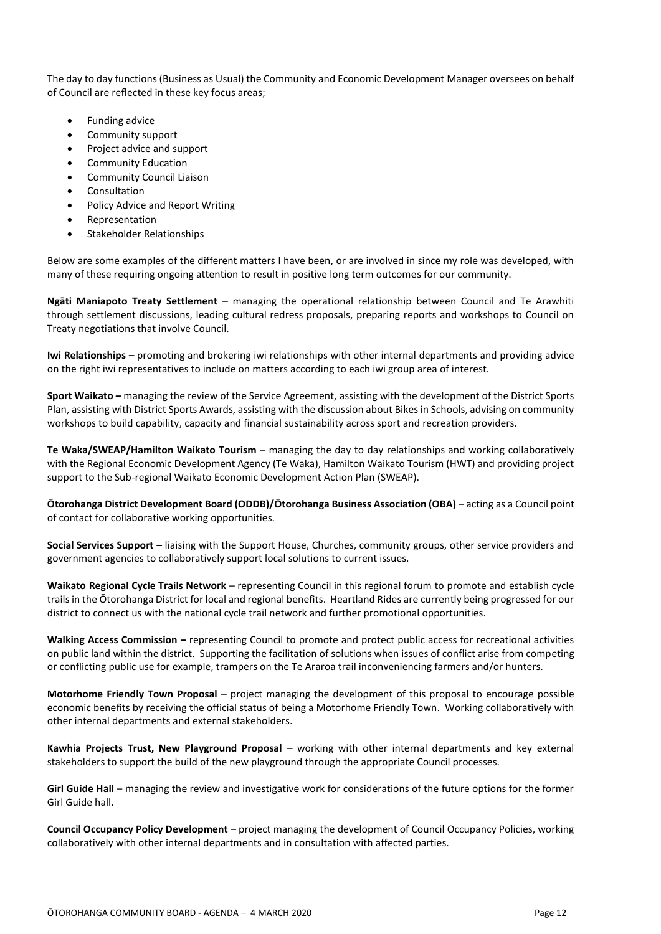The day to day functions (Business as Usual) the Community and Economic Development Manager oversees on behalf of Council are reflected in these key focus areas;

- Funding advice
- Community support
- Project advice and support
- Community Education
- Community Council Liaison
- Consultation
- Policy Advice and Report Writing
- Representation
- Stakeholder Relationships

Below are some examples of the different matters I have been, or are involved in since my role was developed, with many of these requiring ongoing attention to result in positive long term outcomes for our community.

**Ngāti Maniapoto Treaty Settlement** – managing the operational relationship between Council and Te Arawhiti through settlement discussions, leading cultural redress proposals, preparing reports and workshops to Council on Treaty negotiations that involve Council.

**Iwi Relationships –** promoting and brokering iwi relationships with other internal departments and providing advice on the right iwi representatives to include on matters according to each iwi group area of interest.

**Sport Waikato –** managing the review of the Service Agreement, assisting with the development of the District Sports Plan, assisting with District Sports Awards, assisting with the discussion about Bikes in Schools, advising on community workshops to build capability, capacity and financial sustainability across sport and recreation providers.

**Te Waka/SWEAP/Hamilton Waikato Tourism** – managing the day to day relationships and working collaboratively with the Regional Economic Development Agency (Te Waka), Hamilton Waikato Tourism (HWT) and providing project support to the Sub-regional Waikato Economic Development Action Plan (SWEAP).

**Ōtorohanga District Development Board (ODDB)/Ōtorohanga Business Association (OBA)** – acting as a Council point of contact for collaborative working opportunities.

**Social Services Support –** liaising with the Support House, Churches, community groups, other service providers and government agencies to collaboratively support local solutions to current issues.

**Waikato Regional Cycle Trails Network** – representing Council in this regional forum to promote and establish cycle trails in the Ōtorohanga District for local and regional benefits. Heartland Rides are currently being progressed for our district to connect us with the national cycle trail network and further promotional opportunities.

**Walking Access Commission –** representing Council to promote and protect public access for recreational activities on public land within the district. Supporting the facilitation of solutions when issues of conflict arise from competing or conflicting public use for example, trampers on the Te Araroa trail inconveniencing farmers and/or hunters.

**Motorhome Friendly Town Proposal** – project managing the development of this proposal to encourage possible economic benefits by receiving the official status of being a Motorhome Friendly Town. Working collaboratively with other internal departments and external stakeholders.

**Kawhia Projects Trust, New Playground Proposal** – working with other internal departments and key external stakeholders to support the build of the new playground through the appropriate Council processes.

**Girl Guide Hall** – managing the review and investigative work for considerations of the future options for the former Girl Guide hall.

**Council Occupancy Policy Development** – project managing the development of Council Occupancy Policies, working collaboratively with other internal departments and in consultation with affected parties.